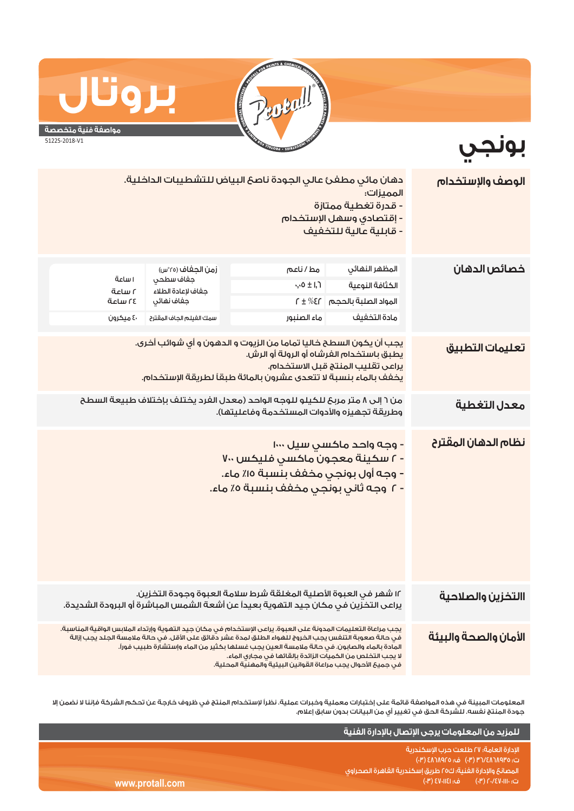

**مواصفة فنية متخصصة**

**بروتال**

**بونجي**

51225-2018-V1

| الوصف والإستخدام      | دهان مائي مطفئ عالي الجودة ناصح البياض للتشطيبات الداخلية.<br>المميزات:<br>- قدرة تغطية ممتازة<br><mark>- إقتصادي وسهل الإستخدام</mark><br>- قابلية عالية للتذفيف                                                                                                                                                                                                                                                                                    |                                                                                                                                                         |                                                                                                |                                         |  |
|-----------------------|------------------------------------------------------------------------------------------------------------------------------------------------------------------------------------------------------------------------------------------------------------------------------------------------------------------------------------------------------------------------------------------------------------------------------------------------------|---------------------------------------------------------------------------------------------------------------------------------------------------------|------------------------------------------------------------------------------------------------|-----------------------------------------|--|
| خصائص الدهان          | المظهر النهائى<br>الكثافة النوعية<br>المواد الصلبة بالحجم<br>مادة التخفيف                                                                                                                                                                                                                                                                                                                                                                            | مط/ناعم<br>$4.0 \pm 1.7$<br>$\Gamma \pm \%$ E $\Gamma$<br>ماء الصنبور                                                                                   | زمن الجغاف (٢٥°س)<br>جفاف سطحى<br>جفاف لإعادة الطلاء<br>جفاف نهائى<br>سمك الغيلم الجاف المقترح | ا ساعة<br>آساعة<br>ةدلس ٢٤<br>٤٠ ميکرون |  |
| تعليمات التطبيق       | يجب أن يكون السطح خاليا تماما من الزيوت و الدهون و أى شوائب أخرى.<br>يطبق باستخدام الفرشاه أو الرولة أو الرش.<br>يراعى تقليب المنتج قبل الاستخدام.<br>يخفف بالماء بنسبة لا تتعدى عشرون بالمائة طبقاً لطريقة الإستخدام.                                                                                                                                                                                                                               |                                                                                                                                                         |                                                                                                |                                         |  |
| معدل التغطية          | من ٦ إلى ٨ متر مربعَ للكيلو للوجه الواحد (معدل الفرد يختلف بإختلاف طبيعة السطح<br>وطريقة تجهيزه والأدوات المستخدمة وفاعليتها).                                                                                                                                                                                                                                                                                                                       |                                                                                                                                                         |                                                                                                |                                         |  |
| نظام الدهان المقترح   | - وجه واحد ماكسي سيل ١٠٠٠<br>- ٢ سكينة معجون ماكسى فليكس ٢٠٠<br>- وجه أول بونجي مخفف بنسبة ١٥٪ ماء.<br>- ٢ وجه ثاني بونجي مخفف بنسبة ٥٪ ماء.                                                                                                                                                                                                                                                                                                         |                                                                                                                                                         |                                                                                                |                                         |  |
| االتخزين والصلاحية    |                                                                                                                                                                                                                                                                                                                                                                                                                                                      | ١٢ شهر في العبوة الأصلية المغلقة شرط سلامة العبوة وجودة التخزين.<br>يراعى التخزين في مكان جيد التهوية بعيداً عن أشعة الشمس المباشرة أو البرودة الشديدة. |                                                                                                |                                         |  |
| الأمان والصحة والبيئة | يجب مراعاة التعليمات المدونة على العبوة. يراعى الإستخدام في مكان جيد التهوية وإرتداء الملابس الواقية المناسبة.<br>فى حالة صعوبة التنفس يجب الخروج للهواء الطلق لمدة عشر دقائق على الأقل. فى حالة ملامسة الجلد يجب إزالة<br>المادة بالماء والصابون. في حالة ملامسة العين يجب غسلها بكثير من الماء وإستشارة طبيب فوراً.<br>لا يجب التخلص من الكميات الزائدة بإلقائها فى مجارى الماء.<br>فى جميعَ الأحوال يجب مراعاة القوانين البيئية والمهنية المحلية. |                                                                                                                                                         |                                                                                                |                                         |  |

المعلومات المبينة في هذه المواصفة قائمة على إختبارات معملية وخبرات عملية. نظراً لإستخدام المنتج في ظروف خارجة عن تحكم الشركة فإننا لا نضمن إلا جودة المنتج نفسه. للشركة الحق في تغيير أي من البيانات بدون سابق إعلام.

|                 | ، للمزيد من المعلومات يرجى الإتصال بالإدارة الفنية ا                                         |
|-----------------|----------------------------------------------------------------------------------------------|
|                 | <sup>ا</sup> الإدارة العامة؛ ٢٧ طلعت حرب الإسكندرية ١<br>ت: ۴/۸٦٨٩٢٥/٣١ (٣٠) ف: ٤٨٦٨٩٢٥ (٣٠) |
|                 | المصانع والإدارة الفنية؛ ك٥٥ طريق إسكندرية القاهرة الصحراوى ا                                |
| www.protall.com | رت: ۲۰/٤٧٠١١١٠ (۳)         ف: ٤٧٠١١٤١ (۳)  ا                                                 |